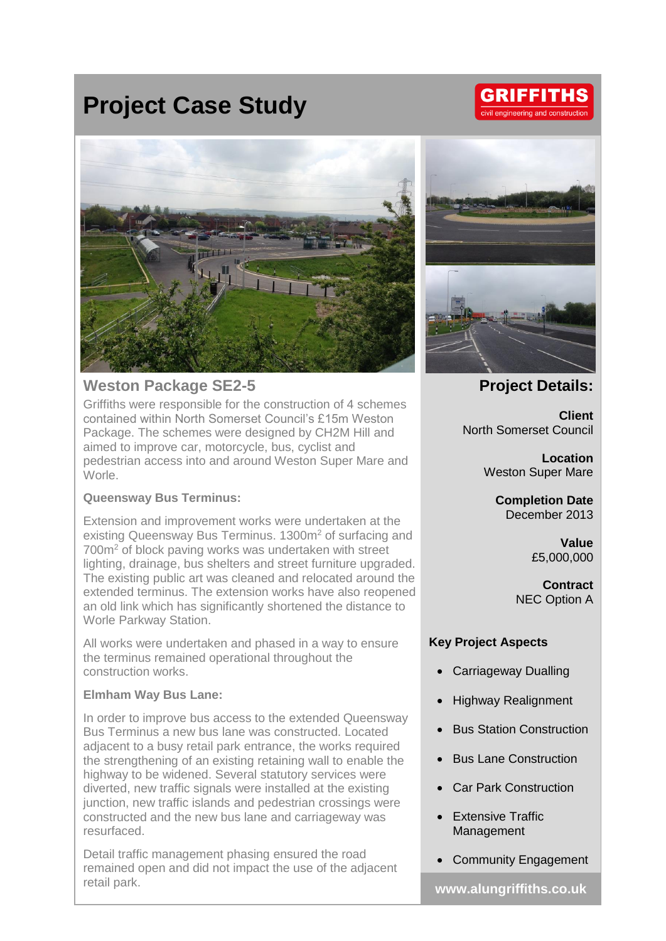## **Project Case Study**

# **GRIFFITHS** il engineering and constr



## **Weston Package SE2-5**

Griffiths were responsible for the construction of 4 schemes contained within North Somerset Council's £15m Weston Package. The schemes were designed by CH2M Hill and aimed to improve car, motorcycle, bus, cyclist and pedestrian access into and around Weston Super Mare and Worle.

#### **Queensway Bus Terminus:**

Extension and improvement works were undertaken at the existing Queensway Bus Terminus. 1300m<sup>2</sup> of surfacing and 700m<sup>2</sup> of block paving works was undertaken with street lighting, drainage, bus shelters and street furniture upgraded. The existing public art was cleaned and relocated around the extended terminus. The extension works have also reopened an old link which has significantly shortened the distance to Worle Parkway Station.

All works were undertaken and phased in a way to ensure the terminus remained operational throughout the construction works.

#### **Elmham Way Bus Lane:**

In order to improve bus access to the extended Queensway Bus Terminus a new bus lane was constructed. Located adjacent to a busy retail park entrance, the works required the strengthening of an existing retaining wall to enable the highway to be widened. Several statutory services were diverted, new traffic signals were installed at the existing junction, new traffic islands and pedestrian crossings were constructed and the new bus lane and carriageway was resurfaced.

Detail traffic management phasing ensured the road remained open and did not impact the use of the adjacent retail park. **www.alungriffiths.co.uk**





### **Project Details:**

**Client** North Somerset Council

> **Location** Weston Super Mare

**Completion Date** December 2013

> **Value** £5,000,000

**Contract** NEC Option A

#### **Key Project Aspects**

- Carriageway Dualling
- Highway Realignment
- Bus Station Construction
- Bus Lane Construction
- **Car Park Construction**
- Extensive Traffic Management
- Community Engagement